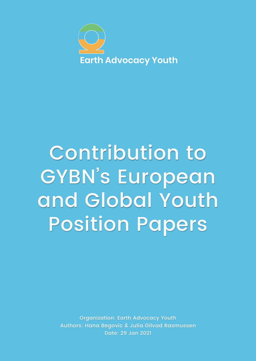

# Contribution to GYBN' s European and Global Youth Position Papers

Organization: Earth Advocacy Youth Authors: Hana Begovic & Julia Gilvad Rasmussen Date: 29 Jan 2021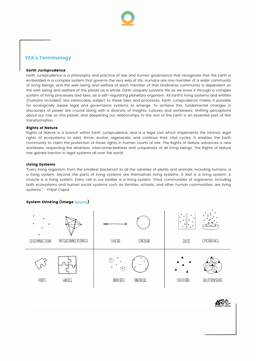

## YEA's Terminology

#### Earth Jurisprudence

Earth Jurisprudence is a philosophy and practice of law and human governance that recognizes that the Earth is embedded in a complex system that governs the very web of life. Humans are one member of a wider community of living beings, and the well-being and welfare of each member of that biodiverse community is dependent on the well-being and welfare of the planet as a whole. Earth uniquely sustains life as we know it through a complex system of living processes and laws, as a self-regulating planetary organism. All Earth's living systems and entities (humans included) are inextricably subject to these laws and processes. Earth Jurisprudence makes it possible for ecologically aware legal and governance systems to emerge. To achieve this, fundamental changes in discourses of power are crucial along with a diversity of insights, cultures and worldviews. Shifting perceptions about our role on this planet, and deepening our relationships to the rest of the Earth is an essential part of this transformation.

#### Rights of Nature

Rights of Nature is a branch within Earth Jurisprudence, and is a legal tool which implements the intrinsic legal rights of ecosystems to exist, thrive, evolve, regenerate, and continue their vital cycles. It enables the Earth community to claim the protection of those rights in human courts of law. The Rights of Nature advances a new worldview, respecting the aliveness, interconnectedness and uniqueness of all living beings. The Rights of Nature has gained traction in legal systems all over the world.

#### Living Systems

"Every living organism, from the smallest bacterium to all the varieties of plants and animals, including humans, is a living system. Second, the parts of living systems are themselves living systems. A leaf is a living system. A muscle is a living system. Every cell in our bodies is a living system. Third, communities of organisms, including both ecosystems and human social systems such as families, schools, and other human communities, are living systems." - Fritjof Capra

#### System thinking (image [source\)](https://medium.com/disruptive-design/tools-for-systems-thinkers-the-6-fundamental-concepts-of-systems-thinking-379cdac3dc6a)



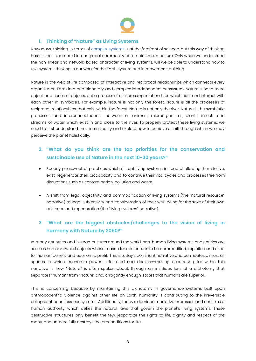

## **1. Thinking of "Nature" as Living Systems**

Nowadays, thinking in terms of [complex](https://medium.com/disruptive-design/tools-for-systems-thinkers-the-6-fundamental-concepts-of-systems-thinking-379cdac3dc6a) systems is at the forefront of science, but this way of thinking has still not taken hold in our global community and mainstream culture. Only when we understand the non-linear and network-based character of living systems, will we be able to understand how to use systems thinking in our work for the Earth system and in movement-building.

Nature is the web of life composed of interactive and reciprocal relationships which connects every organism on Earth into one planetary and complex interdependent ecosystem. Nature is not a mere object or a series of objects, but a process of crisscrossing relationships which exist and interact with each other in symbiosis. For example, Nature is not only the forest. Nature is all the processes of reciprocal relationships that exist within the forest. Nature is not only the river. Nature is the symbiotic processes and interconnectedness between all animals, microorganisms, plants, insects and streams of water which exist in and close to the river. To properly protect these living systems, we need to first understand their intrinsicality and explore how to achieve a shift through which we may perceive the planet holistically.

## **2. "What do you think are the top priorities for the conservation and sustainable use of Nature in the next 10-30 years?"**

- Speedy phase-out of practices which disrupt living systems instead of allowing them to live, exist, regenerate their biocapacity and to continue their vital cycles and processes free from disruptions such as contamination, pollution and waste.
- A shift from legal objectivity and commodification of living systems (the "natural resource" narrative) to legal subjectivity and consideration of their well-being for the sake of their own existence and regeneration (the "living systems" narrative).

## **3. "What are the biggest obstacles/challenges to the vision of living in harmony with Nature by 2050?"**

In many countries and human cultures around the world, non-human living systems and entities are seen as human-owned objects whose reason for existence is to be commodified, exploited and used for human benefit and economic profit. This is today's dominant narrative and permeates almost all spaces in which economic power is fostered and decision-making occurs. A pillar within this narrative is how "Nature" is often spoken about, through an insidious lens of a dichotomy that separates "human" from "Nature" and, arrogantly enough, states that humans are superior.

This is concerning because by maintaining this dichotomy in governance systems built upon anthropocentric violence against other life on Earth, humanity is contributing to the irreversible collapse of countless ecosystems. Additionally, today's dominant narrative expresses and confirms a human authority which defies the natural laws that govern the planet's living systems. These destructive structures only benefit the few, jeopardize the rights to life, dignity and respect of the many, and unmercifully destroys the preconditions for life.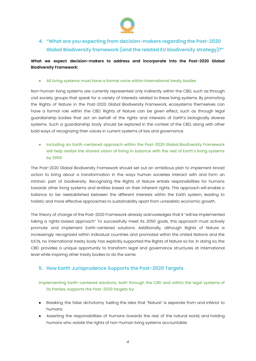

## **4. "What are you expecting from decision-makers regarding the Post-2020 Global Biodiversity framework (and the related EU biodiversity strategy)?"**

**What we expect decision-makers to address and incorporate into the Post-2020 Global Biodiversity Framework:**

## All living systems must have a formal voice within international treaty bodies

Non-human living systems are currently represented only indirectly within the CBD, such as through civil society groups that speak for a variety of interests related to these living systems. By promoting the Rights of Nature in the Post-2020 Global Biodiversity Framework, ecosystems themselves can have a formal role within the CBD. Rights of Nature can be given effect, such as through legal guardianship bodies that act on behalf of the rights and interests of Earth's biologically diverse systems. Such a guardianship body should be explored in the context of the CBD, along with other bold ways of recognizing their voices in current systems of law and governance.

● Including an Earth-centered approach within the Post-2020 Global Biodiversity Framework will help realize the shared vision of living in balance with the rest of Earth's living systems by 2050

The Post-2020 Global Biodiversity Framework should set out an ambitious plan to implement broad action to bring about a transformation in the ways human societies interact with and form an intrinsic part of biodiversity. Recognizing the Rights of Nature entails responsibilities for humans towards other living systems and entities based on their inherent rights. This approach will enable a balance to be reestablished between the different interests within the Earth system, leading to holistic and more effective approaches to sustainability apart from unrealistic economic growth.

The theory of change of the Post-2020 Framework already acknowledges that it "will be implemented taking a rights-based approach" To successfully meet its 2050 goals, this approach must actively promote and implement Earth-centered solutions. Additionally, although Rights of Nature is increasingly recognized within individual countries and promoted within the United Nations and the IUCN, no international treaty body has explicitly supported the Rights of Nature so far. In doing so, the CBD provides a unique opportunity to transform legal and governance structures at international level while inspiring other treaty bodies to do the same.

## **5. How Earth Jurisprudence Supports the Post-2020 Targets**

Implementing Earth-centered solutions, both through the CBD and within the legal systems of its Parties, supports the Post-2020 targets by:

- Breaking the false dichotomy fueling the idea that "Nature" is separate from and inferior to humans.
- Asserting the responsibilities of humans towards the rest of the natural world, and holding humans who violate the rights of non-human living systems accountable.